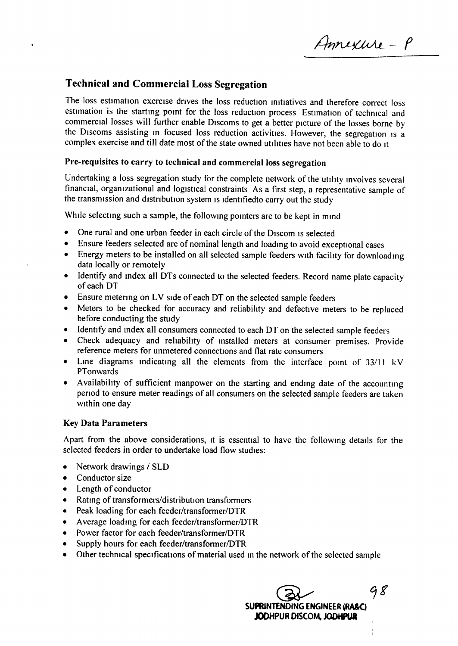Annexure - P

## Technical and Commercial Loss Segregation

The loss estimation exercise drives the loss reduction initiatives and therefore correct loss estimation is the starting pomt for the loss reduction process Estimation of technical and commercial losses will further enable Discoms to get a better picture of the losses borne by the Discoms assisting in focused loss reduction activities. However, the segregation is a complex exercise and till date most of the state owned utilities have not been able to do It

## Pre-requisites to carry to technical and commercial loss segregation

Undertaking a loss segregation study for the complete network of the utility involves several financial, organizational and logistical constraints As a first step, a representative sample of the transmission and distribution system is identifiedto carry out the study

While selecting such a sample, the following pointers are to be kept in mind

- One rural and one urban feeder in each circle of the Discom is selected
- Ensure feeders selected are of nominal length and loading to avoid exceptional cases
- Energy meters to be installed on all selected sample feeders with facility for downloading data locally or remotely
- Identify and Index all DTs connected to the selected feeders. Record name plate capacity of each DT
- Ensure metering on LV side of each DT on the selected sample feeders
- Meters to be checked for accuracy and reliability and defective meters to be replaced before conducting the study
- Identify and index all consumers connected to each DT on the selected sample feeders
- Check adequacy and reliability of Installed meters at consumer premises. Provide reference meters for unmetered connectrons and flat rate consumers
- Line diagrams indicatmg all the elements from the interface point of *33/11* kV PTonwards
- Availabihty of sufficient manpower on the starting and ending date of the accounting period to ensure meter readings of all consumers on the selected sample feeders are taken Within one day

## Key Data Parameters

Apart from the above considerations, It is essential to have the following details for the selected feeders in order to undertake load flow studies:

- Network drawings *1* SLD
- Conductor size
- Length of conductor
- Rating of transformers/distribution transformers
- Peak loading for each feeder/transformer/DTR
- Average loading for each feeder/transformer/DTR
- Power factor for each feeder/transformer/DTR
- Supply hours for each feeder/transformer/DTR
- Other technical specifications of material used in the network of the selected sample

 $\bigotimes$  98 SUPRINTENDING ENGINEER (RA&C) JODHPUR DISCOM, JODHPUR